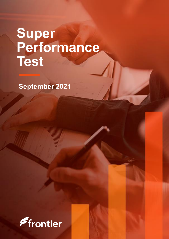# **Super Performance Test**

**Financial year 2020/21 September 2021**

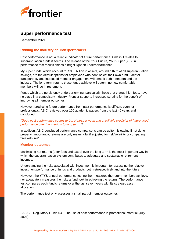

# **Super performance test**

September 2021

### **Ridding the industry of underperformers**

Past performance is not a reliable indicator of future performance. Unless it relates to superannuation funds it seems. The release of the Your Future, Your Super (YFYS) performance test results shines a bright light on underperformance.

MySuper funds, which account for \$900 billion in assets, around a third of all superannuation savings, are the default options for employees who don't select their own fund. Greater transparency and increased member engagement will benefit both members and the industry. The long-term returns these funds achieve will determine how comfortable members will be in retirement.

Funds which are persistently underperforming, particularly those that charge high fees, have no place in a compulsory industry. Frontier supports increased scrutiny for the benefit of improving all member outcomes.

However, predicting future performance from past performance is difficult, even for professionals. ASIC reviewed over 100 academic papers from the last 40 years and concluded:

#### *"Good past performance seems to be, at best, a weak and unreliable predictor of future good performance over the medium to long term."* 1

In addition, ASIC concluded performance comparisons can be quite misleading if not done properly. Importantly, returns are only meaningful if adjusted for risk/volatility or comparing "like with like".

#### **Member outcomes**

Maximising net returns (after fees and taxes) over the long term is the most important way in which the superannuation system contributes to adequate and sustainable retirement incomes.

Understanding the risks associated with investment is important for assessing the relative investment performance of funds and products, both retrospectively and into the future.

However, the YFYS annual performance test neither measures the return members achieve, nor adequately measures the risks a fund took in achieving the returns. The performance test compares each fund's returns over the last seven years with its strategic asset allocation.

The performance test only assesses a small part of member outcomes:

<sup>1</sup> ASIC – Regulatory Guide 53 – The use of past performance in promotional material (July 2003)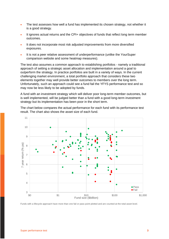- The test assesses how well a fund has implemented its chosen strategy, not whether it is a good strategy.
- It ignores actual returns and the CPI+ objectives of funds that reflect long term member outcomes.
- It does not incorporate most risk adjusted improvements from more diversified exposures.
- It is not a peer relative assessment of underperformance (unlike the YourSuper comparison website and some heatmap measures).

The test also assumes a common approach to establishing portfolios - namely a traditional approach of setting a strategic asset allocation and implementation around a goal to outperform the strategy. In practice portfolios are built in a variety of ways. In the current challenging market environment, a total portfolio approach that considers these two elements together may well provide better outcomes to members over the long term. Unfortunately, such an approach could see a fund fail the YFYS performance test and so may now be less likely to be adopted by funds.

A fund with an investment strategy which will deliver poor long-term member outcomes, but is well implemented, will be judged better than a fund with a good long-term investment strategy but its implementation has been poor in the short term.

The chart below compares the actual performance for each fund with its performance test result. The chart also shows the asset size of each fund.



Funds with a lifecycle approach have more than one fail or pass point plotted and are counted at the total asset level.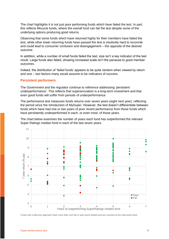The chart highlights it is not just poor performing funds which have failed the test. In part, this reflects lifecycle funds, where the overall fund can fail the test despite some of the underlying options producing good returns.

Observing that some funds which have returned highly for their members have failed the test, while other lower returning funds have passed the test is intuitively hard to reconcile and could lead to consumer confusion and disengagement – the opposite of the desired outcome.

In addition, while a number of small funds failed the test, size isn't a key indicator of the test result. Large funds also failed, showing increased scale isn't the panacea to good member outcomes.

Indeed, the distribution of 'failed funds' appears to be quite random when viewed by return and size – two factors many would assume to be indicators of success.

#### **Persistent performers**

The Government and the regulator continue to reference addressing 'persistent underperformance'. This reflects that superannuation is a long-term investment and that even good funds will suffer from periods of underperformance.

The performance test measures funds returns over seven years (eight next year), reflecting the period since the introduction of MySuper. However, the test doesn't differentiate between funds which have had one or two years of poor recent performance from those funds which have persistently underperformed in each, or even most, of those years.

The chart below examines the number of years each fund has outperformed the relevant Super Ratings median fund in each of the last seven years.



Funds with a lifecycle approach have more than one fail or pass point plotted and are counted at the total asset level.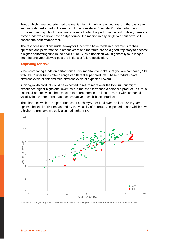Funds which have outperformed the median fund in only one or two years in the past seven, and so underperformed in the rest, could be considered 'persistent' underperformers. However, the majority of these funds have not failed the performance test. Indeed, there are some funds which have never outperformed the median in any single year but have still passed the performance test.

The test does not allow much leeway for funds who have made improvements to their approach and performance in recent years and therefore are on a good trajectory to become a higher performing fund in the near future. Such a transition would generally take longer than the one year allowed post the initial test failure notification.

#### **Adjusting for risk**

When comparing funds on performance, it is important to make sure you are comparing 'like with like'. Super funds offer a range of different super products. These products have different levels of risk and thus different levels of expected reward.

A high-growth product would be expected to return more over the long run but might experience higher highs and lower lows in the short term than a balanced product. In turn, a balanced product would be expected to return more in the long term, but with increased volatility in the short term than a conservative or cash-based product.

The chart below plots the performance of each MySuper fund over the last seven years against the level of risk (measured by the volatility of return). As expected, funds which have a higher return have typically also had higher risk.



Funds with a lifecycle approach have more than one fail or pass point plotted and are counted at the total asset level.

.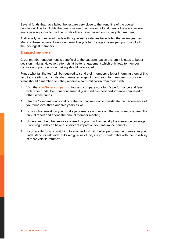Several funds that have failed the test are very close to the trend line of the overall population. This highlights the binary nature of a pass or fail and means there are several funds passing 'close to the line', while others have missed out by very thin margins.

Additionally, a number of funds with higher risk strategies have failed the seven year test. Many of these represent very long term 'lifecycle fund' stages developed purposefully for their youngest members.

#### **Engaged members**

Great member engagement is beneficial to the superannuation system if it leads to better decision making. However, attempts at better engagement which only lead to member confusion or poor decision making should be avoided.

Funds who 'fail the test' will be required to send their members a letter informing them of this result and setting out, in standard terms, a range of information for members to consider. What should a member do if they receive a 'fail' notification from their fund?

- 1. Visit the [YourSuper comparison](https://www.ato.gov.au/YourSuper-Comparison-Tool/) tool and compare your fund's performance and fees with other funds. Be more concerned if your fund has poor performance compared to other similar funds.
- 2. Use the 'compare' functionality of the comparison tool to investigate the performance of your fund over three and five years as well.
- 3. Do your homework on your fund's performance check out the fund's website, read the annual report and attend the annual member meeting.
- 4. Understand the other services offered by your fund, especially the insurance coverage. Switching funds can have a significant impact on your insurance benefits.
- 5. If you are thinking of switching to another fund with better performance, make sure you understand its risk level. If it's a higher risk fund, are you comfortable with the possibility of more volatile returns?